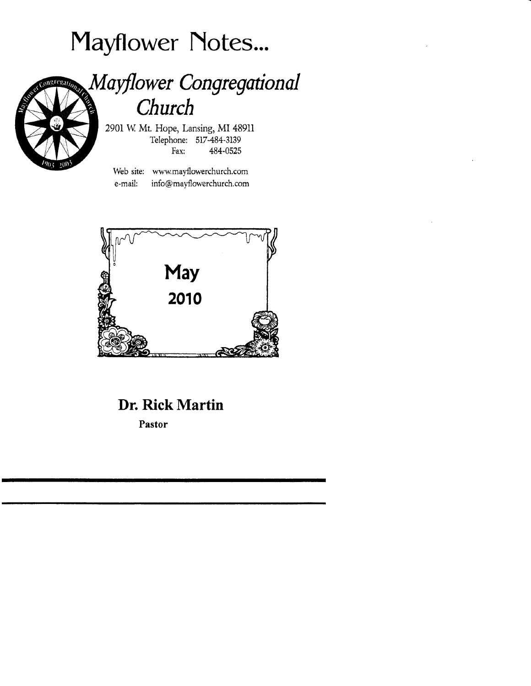# Mayflower Notes...



## Mayflower Congregational Church

2901 W. Mt. Hope, Lansing, MI 48911 Telephone: 517-484-3139  $Fax: 484-0525$ 

Web site: www.mayflowerchurch.com info@mayflowerchurch.com e-mail:



### Dr. Rick Martin

Pastor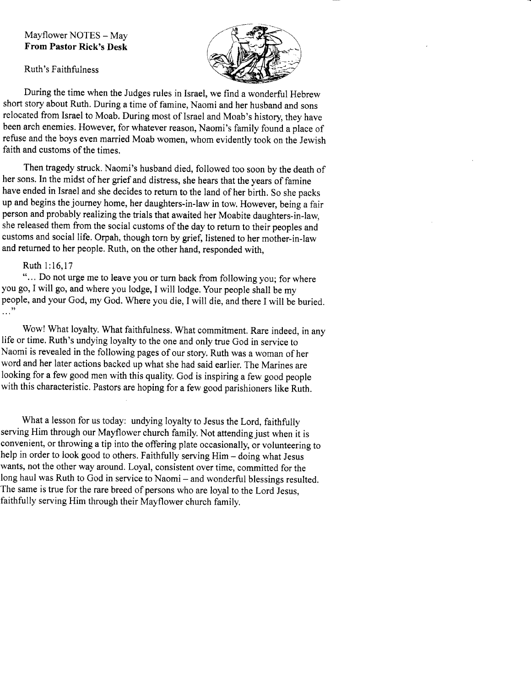#### Mayflower NOTES - May From Pastor Rick's Desk

Ruth's Faithfulness



During the time when the Judges rules in Israel, we find a wonderful Hebrew short story about Ruth. During a time of famine, Naomi and her husband and sons relocated from Israel to Moab. During most of Israel and Moab's history, they have been arch enemies. However, for whatever reason, Naomi's family found a place of refuse and the boys even married Moab women, whom evidently took on the Jewish faith and customs of the times.

Then tragedy struck. Naomi's husband died, followed too soon by the death of her sons. In the midst of her grief and distress, she hears that the years of famine have ended in Israel and she decides to return to the land of her birth. So she packs up and begins the journey home, her daughters-in-law in tow. However, being a fair person and probably realizing the trials that awaited her Moabite daughters-in-law, she released them from the social customs of the day to return to their peoples and customs and social life. Orpah, though torn by grief, listened to her mother-in-law and returned to her people. Ruth, on the other hand, responded with,

#### Ruth 1:16,17

"... Do not urge me to leave you or turn back from following you; for where you go,I will go, and where you lodge,I will lodge. your people shall be my :.::0t", people, and your God, my God. Where you die, I will die, and there I will be buried.

Wow! What loyalty. What faithfulness. What commitment. Rare indeed, in any life or time. Ruth's undying loyalty to the one and only true God in service to Naomi is revealed in the following pages of our story. Ruth was a woman of her word and her later actions backed up what she had said earlier. The Marines are looking for a few good men with this quality, God is inspiring a few good people with this characteristic. Pastors are hoping for a few good parishioners like Ruth.

what a lesson for us today: undying loyalty to Jesus the Lord, faithfully serving Him through our Mayflower church family. Not attending just when it is convenient, or throwing a tip into the offering plate occasionally, or volunteering to help in order to look good to others. Faithfully serving Him - doing what Jesus wants, not the other way around. Loyal, consistent over time, committed for the long haul was Ruth to God in service to Naomi - and wonderful blessings resulted, The same is true for the rare breed of persons who are loyal to the Lord Jesus, faithfully serving Him through their Mayflower church family.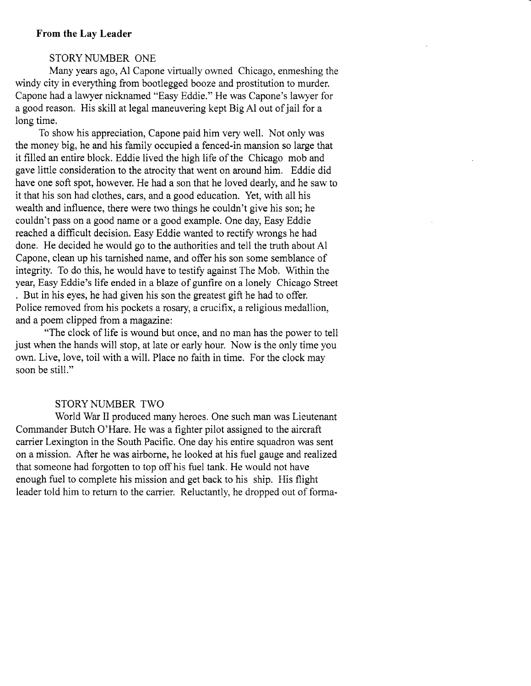#### STORY NUMBER ONE

Many years ago, Al Capone virtually owned Chicago, enmeshing the windy city in everything from bootlegged booze and prostitution to murder. Capone had a lawyer nicknamed "Easy Eddie." He was Capone's lawyer for a good reason. His skill at legal maneuvering kept Big Al out of jail for a long time.

To show his appreciation, Capone paid him very well. Not only was the money big, he and his family occupied a fenced-in mansion so large that it filled an entire block. Eddie lived the high life of the Chicago mob and gave little consideration to the atrocity that went on around him. Eddie did have one soft spot, however, He had a son that he loved dearly, and he saw to it that his son had clothes, cars, and a good education. Yet, with all his wealth and influence, there were two things he couldn't give his son; he couldn't pass on a good name or a good example. One day, Easy Eddie reached a difficult decision. Easy Eddie wanted to rectify wrongs he had done. He decided he would go to the authorities and tell the truth about Al Capone, clean up his tarnished name, and offer his son some semblance of integrity. To do this, he would have to testify against The Mob. Within the year, Easy Eddie's life ended in ablaze of gunfire on a lonely Chicago Street . But in his eyes, he had given his son the greatest gift he had to offer. Police removed from his pockets a tosary, a crucifix, a religious medallion, and a poem clipped from a magazine:

"The clock of life is wound but once, and no man has the power to tell just when the hands will stop, at late or early hour. Now is the only time you own, Live, love, toil with a will. Place no faith in time. For the clock may soon be still."

#### STORY NUMBER TWO

World War II produced many heroes. One such man was Lieutenant Commander Butch O'Hare. He was a fighter pilot assigned to the aircraft carrier Lexington in the South Pacific. One day his entire squadron was sent on a mission. After he was airborne, he looked at his fuel gauge and realized that someone had forgotten to top off his fuel tank. He would not have enough fuel to complete his mission and get back to his ship. His flight leader told him to return to the carrier. Reluctantly, he dropped out of forma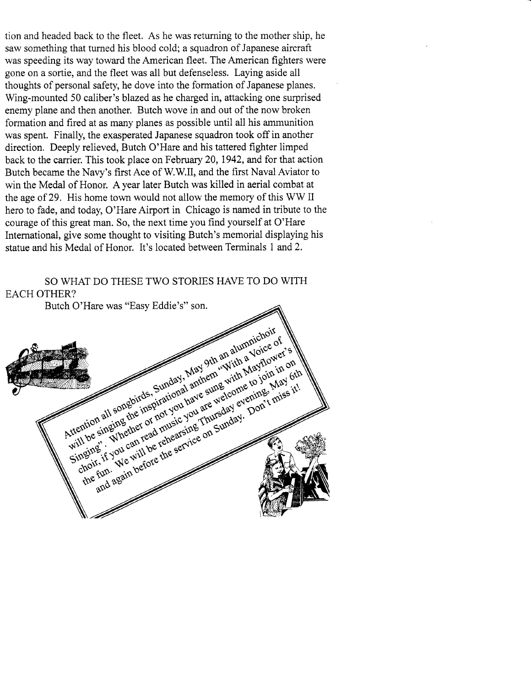tion and headed back to the fleet. As he was retuming to the mother ship, he saw something that turned his blood cold; a squadron of Japanese aircraft was speeding its way toward the American fleet. The American fighters were gone on a sortie, and the fleet was all but defenseless. Laying aside all thoughts of personal safety, he dove into the formation of Japanese planes. Wing-mounted 50 caliber's blazed as he charged in, attacking one surprised enemy plane and then another. Butch wove in and out of the now broken formation and fired at as many planes as possible until all his ammunition was spent. Finally, the exasperated Japanese squadron took off in another direction. Deeply relieved, Butch O'Hare and his tattered fighter limped back to the carrier. This took place on February 20,1942, and for that action Butch became the Navy's first Ace of W.W.il, and the first Naval Aviator to win the Medal of Honor. A year later Butch was killed in aerial combat at the age of 29. His home town would not allow the memory of this WW II hero to fade, and today, O'Hare Airport in Chicago is named in tribute to the courage of this great man. So, the next time you find yourself at O'Hare International, give some thought to visiting Butch's memorial displaying his statue and his Medal of Honor. It's located between Terminals I and2.

#### SO WHAT DO THESE TWO STORIES HAVE TO DO WITH EACH OTHER?

Butch O'Hare was "Easy Eddie's" son.

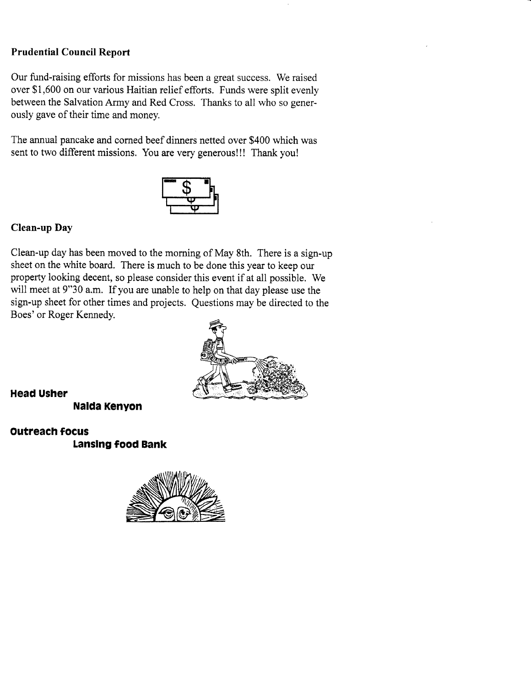#### Prudential Council Report

Our fund-raising efforts for missions has been a great success. We raised over \$1,600 on our various Haitian relief effiorts. Funds were split evenly between the Salvation Army and Red Cross. Thanks to all who so generously gave of their time and money.

The annual pancake and corned beef dinners netted over \$400 which was sent to two different missions. You are very generous!!! Thank you!



#### Clean-up Day

Clean-up day has been moved to the morning of May 8th. There is a sign-up sheet on the white board. There is much to be done this year to keep our property looking decent, so please consider this event if at all possible. We will meet at 9"30 a.m. If you are unable to help on that day please use the sign-up sheet for other times and projects. Questions may be directed to the Boes' or Roger Kennedy.



Head usher Nalda Kenyon

Outreach focus Lanslng food Bank

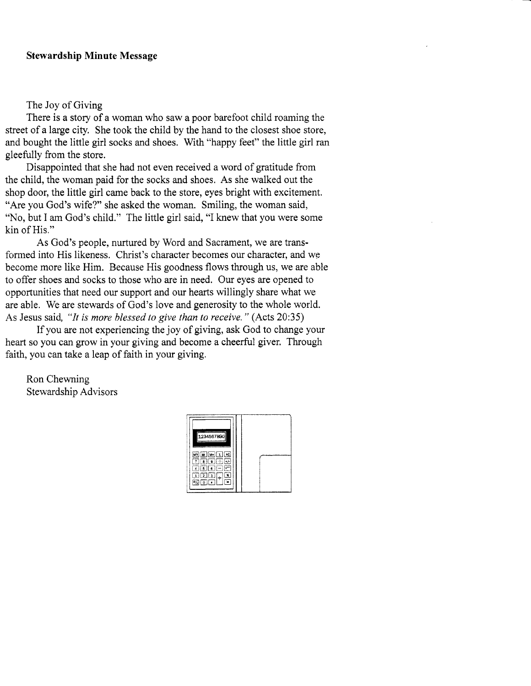#### Stewardship Minute Message

The Joy of Giving

There is a story of a woman who saw a poor barefoot child roaming the street of a large city. She took the child by the hand to the closest shoe store, and bought the little girl socks and shoes. With "happy feet" the little girl ran gleefully from the store.

Disappointed that she had not even received a word of gratitude from the child, the woman paid for the socks and shoes. As she walked out the shop door, the little girl came back to the store, eyes bright with excitement. "Are you God's wife?" she asked the woman. Smiling, the woman said, 'No, but I am God's child." The little girl said, "I knew that you were some kin of His."

As God's people, nurtured by Word and Sacrament, we are transformed into His likeness. Christ's character becomes our character, and we become more like Him. Because His goodness flows through us, we are able to offer shoes and socks to those who are in need. Our eyes are opened to opportunities that need our support and our hearts willingly share what we are able. We are stewards of God's love and generosity to the whole world. As Jesus said, "It is more blessed to give than to receive." (Acts  $20:35$ )

If you are not experiencing the joy of giving, ask God to change your heart so you can grow in your giving and become a cheerful giver. Through faith, you can take a leap of faith in your giving.

Ron Chewning Stewardship Advisors

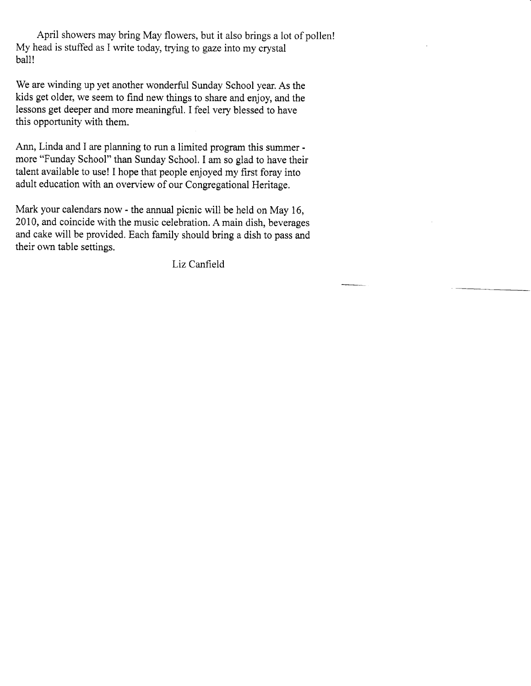April showers may bring May flowers, but it also brings a lot of pollen! My head is stuffed as I write today, trying to gaze into my crystal ball!

We are winding up yet another wonderful Sunday School year. As the kids get older, we seem to find new things to share and enjoy, and the lessons get deeper and more meaningful. I feel very blessed to have this opportunity with them.

Ann, Linda and I are planning to run a limited program this summer more "Funday School" than Sunday School. I am so glad to have their talent available to use! I hope that people enjoyed my first foray into adult education with an overview of our Congregational Heritage.

Mark your calendars now - the annual picnic will be held on May 16, 2010, and coincide with the music celebration. A main dish, beverages and cake will be provided. Each family should bring a dish to pass and their own table settings.

Liz Canfield